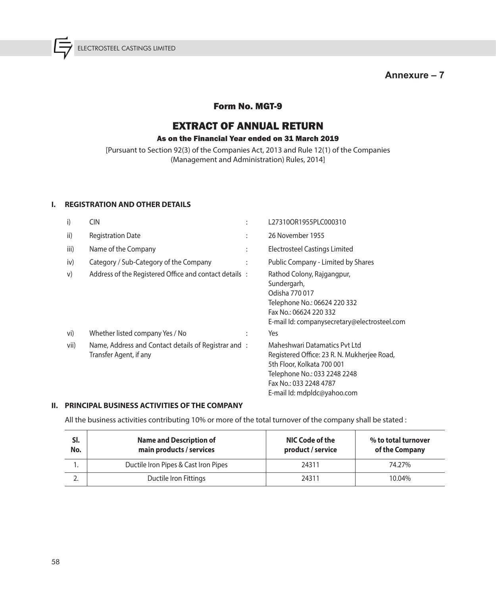**Annexure – 7**

### Form No. MGT-9

# EXTRACT OF ANNUAL RETURN

### As on the Financial Year ended on 31 March 2019

[Pursuant to Section 92(3) of the Companies Act, 2013 and Rule 12(1) of the Companies (Management and Administration) Rules, 2014]

#### **I. REGISTRATION AND OTHER DETAILS**

| i)   | <b>CIN</b>                                                                    | $\bullet$            | L27310OR1955PLC000310                                                                                                                                                                               |
|------|-------------------------------------------------------------------------------|----------------------|-----------------------------------------------------------------------------------------------------------------------------------------------------------------------------------------------------|
| ii)  | <b>Registration Date</b>                                                      | $\ddot{\phantom{a}}$ | 26 November 1955                                                                                                                                                                                    |
| iii) | Name of the Company                                                           | $\ddot{\cdot}$       | Electrosteel Castings Limited                                                                                                                                                                       |
| iv)  | Category / Sub-Category of the Company                                        | $\ddot{\cdot}$       | Public Company - Limited by Shares                                                                                                                                                                  |
| V)   | Address of the Registered Office and contact details :                        |                      | Rathod Colony, Rajgangpur,<br>Sundergarh,<br>Odisha 770 017<br>Telephone No.: 06624 220 332<br>Fax No.: 06624 220 332<br>E-mail Id: companysecretary@electrosteel.com                               |
| vi)  | Whether listed company Yes / No                                               | $\ddot{\cdot}$       | Yes                                                                                                                                                                                                 |
| vii) | Name, Address and Contact details of Registrar and:<br>Transfer Agent, if any |                      | Maheshwari Datamatics Pvt Ltd<br>Registered Office: 23 R. N. Mukherjee Road,<br>5th Floor, Kolkata 700 001<br>Telephone No.: 033 2248 2248<br>Fax No.: 033 2248 4787<br>E-mail Id: mdpldc@yahoo.com |

### **II. PRINCIPAL BUSINESS ACTIVITIES OF THE COMPANY**

All the business activities contributing 10% or more of the total turnover of the company shall be stated :

| SI.<br>No. | <b>Name and Description of</b><br>main products / services | NIC Code of the<br>product / service | % to total turnover<br>of the Company |  |  |
|------------|------------------------------------------------------------|--------------------------------------|---------------------------------------|--|--|
|            | Ductile Iron Pipes & Cast Iron Pipes                       | 24311                                | 74.27%                                |  |  |
| ـ.         | Ductile Iron Fittings                                      | 24311                                | 10.04%                                |  |  |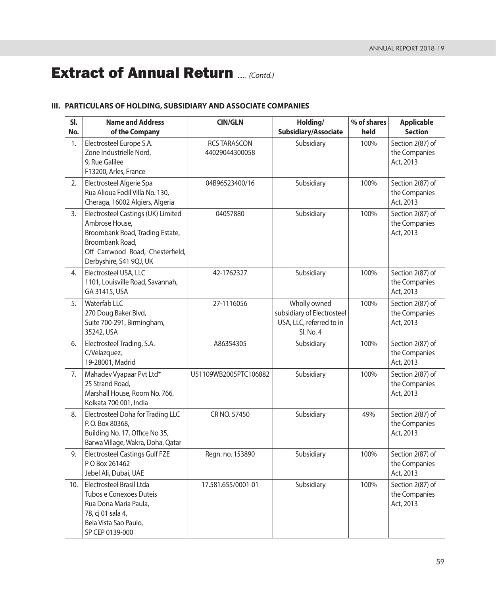### **III. PARTICULARS OF HOLDING, SUBSIDIARY AND ASSOCIATE COMPANIES**

| SI.<br>No. | <b>Name and Address</b><br>of the Company                                                                                                                                 | <b>CIN/GLN</b>                        | Holding/<br>Subsidiary/Associate                                                    | % of shares<br>held | <b>Applicable</b><br><b>Section</b>            |
|------------|---------------------------------------------------------------------------------------------------------------------------------------------------------------------------|---------------------------------------|-------------------------------------------------------------------------------------|---------------------|------------------------------------------------|
| 1.         | Electrosteel Europe S.A.<br>Zone Industrielle Nord,<br>9, Rue Galilee<br>F13200, Arles, France                                                                            | <b>RCS TARASCON</b><br>44029044300058 | Subsidiary                                                                          | 100%                | Section 2(87) of<br>the Companies<br>Act, 2013 |
| 2.         | Electrosteel Algerie Spa<br>Rua Alioua Fodil Villa No. 130,<br>Cheraga, 16002 Algiers, Algeria                                                                            | 04B96523400/16                        | Subsidiary                                                                          | 100%                | Section 2(87) of<br>the Companies<br>Act, 2013 |
| 3.         | Electrosteel Castings (UK) Limited<br>Ambrose House,<br>Broombank Road, Trading Estate,<br>Broombank Road,<br>Off Carrwood Road, Chesterfield,<br>Derbyshire, S41 9QJ, UK | 04057880                              | Subsidiary                                                                          | 100%                | Section 2(87) of<br>the Companies<br>Act, 2013 |
| 4.         | Electrosteel USA, LLC<br>1101, Louisville Road, Savannah,<br>GA 31415, USA                                                                                                | 42-1762327                            | Subsidiary                                                                          | 100%                | Section 2(87) of<br>the Companies<br>Act, 2013 |
| 5.         | Waterfab LLC<br>270 Doug Baker Blvd,<br>Suite 700-291, Birmingham,<br>35242, USA                                                                                          | 27-1116056                            | Wholly owned<br>subsidiary of Electrosteel<br>USA, LLC, referred to in<br>SI. No. 4 | 100%                | Section 2(87) of<br>the Companies<br>Act, 2013 |
| 6.         | Electrosteel Trading, S.A.<br>C/Velazquez,<br>19-28001, Madrid                                                                                                            | A86354305                             | Subsidiary                                                                          | 100%                | Section 2(87) of<br>the Companies<br>Act, 2013 |
| 7.         | Mahadev Vyapaar Pvt Ltd*<br>25 Strand Road,<br>Marshall House, Room No. 766,<br>Kolkata 700 001, India                                                                    | U51109WB2005PTC106882                 | Subsidiary                                                                          | 100%                | Section 2(87) of<br>the Companies<br>Act, 2013 |
| 8.         | Electrosteel Doha for Trading LLC<br>P.O. Box 80368,<br>Building No. 17, Office No 35,<br>Barwa Village, Wakra, Doha, Qatar                                               | CR NO. 57450                          | Subsidiary                                                                          | 49%                 | Section 2(87) of<br>the Companies<br>Act, 2013 |
| 9.         | <b>Electrosteel Castings Gulf FZE</b><br>P O Box 261462<br>Jebel Ali, Dubai, UAE                                                                                          | Regn. no. 153890                      | Subsidiary                                                                          | 100%                | Section 2(87) of<br>the Companies<br>Act, 2013 |
| 10.        | Electrosteel Brasil Ltda<br>Tubos e Conexoes Duteis<br>Rua Dona Maria Paula,<br>78, cj 01 sala 4,<br>Bela Vista Sao Paulo,<br>SP CEP 0139-000                             | 17.581.655/0001-01                    | Subsidiary                                                                          | 100%                | Section 2(87) of<br>the Companies<br>Act, 2013 |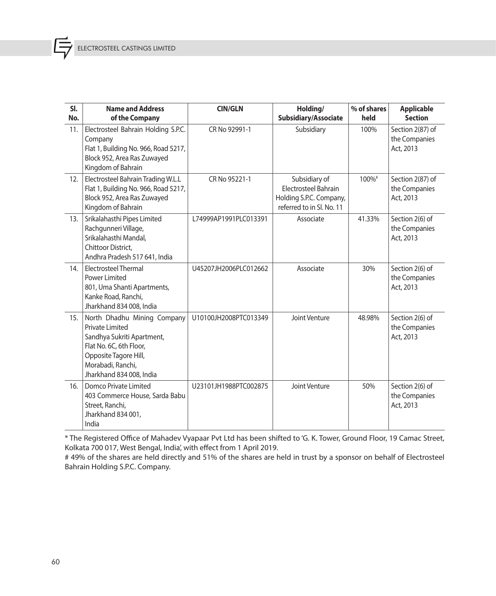| SI.<br>No. | <b>Name and Address</b>                                                                                                                                                           | <b>CIN/GLN</b>        | Holding/                                                                                             | % of shares | <b>Applicable</b><br><b>Section</b>            |
|------------|-----------------------------------------------------------------------------------------------------------------------------------------------------------------------------------|-----------------------|------------------------------------------------------------------------------------------------------|-------------|------------------------------------------------|
|            | of the Company                                                                                                                                                                    |                       | Subsidiary/Associate                                                                                 | held        |                                                |
| 11.        | Electrosteel Bahrain Holding S.P.C.<br>Company<br>Flat 1, Building No. 966, Road 5217,<br>Block 952, Area Ras Zuwayed<br>Kingdom of Bahrain                                       | CR No 92991-1         | Subsidiary                                                                                           | 100%        | Section 2(87) of<br>the Companies<br>Act, 2013 |
| 12.        | Electrosteel Bahrain Trading W.L.L<br>Flat 1, Building No. 966, Road 5217,<br>Block 952, Area Ras Zuwayed<br>Kingdom of Bahrain                                                   | CR No 95221-1         | Subsidiary of<br><b>Electrosteel Bahrain</b><br>Holding S.P.C. Company,<br>referred to in SI. No. 11 | 100%#       | Section 2(87) of<br>the Companies<br>Act, 2013 |
| 13.        | Srikalahasthi Pipes Limited<br>Rachgunneri Village,<br>Srikalahasthi Mandal,<br>Chittoor District,<br>Andhra Pradesh 517 641, India                                               | L74999AP1991PLC013391 | Associate                                                                                            | 41.33%      | Section 2(6) of<br>the Companies<br>Act, 2013  |
| 14.        | Electrosteel Thermal<br>Power Limited<br>801, Uma Shanti Apartments,<br>Kanke Road, Ranchi,<br>Jharkhand 834 008, India                                                           | U45207JH2006PLC012662 | Associate                                                                                            | 30%         | Section 2(6) of<br>the Companies<br>Act, 2013  |
| 15.        | North Dhadhu Mining Company<br>Private Limited<br>Sandhya Sukriti Apartment,<br>Flat No. 6C, 6th Floor,<br>Opposite Tagore Hill,<br>Morabadi, Ranchi,<br>Jharkhand 834 008, India | U10100JH2008PTC013349 | Joint Venture                                                                                        | 48.98%      | Section 2(6) of<br>the Companies<br>Act, 2013  |
| 16.        | Domco Private Limited<br>403 Commerce House, Sarda Babu<br>Street, Ranchi,<br>Jharkhand 834 001,<br>India                                                                         | U23101JH1988PTC002875 | Joint Venture                                                                                        | 50%         | Section 2(6) of<br>the Companies<br>Act, 2013  |

 \* The Registered Office of Mahadev Vyapaar Pvt Ltd has been shifted to 'G. K. Tower, Ground Floor, 19 Camac Street, Kolkata 700 017, West Bengal, India', with effect from 1 April 2019.

 # 49% of the shares are held directly and 51% of the shares are held in trust by a sponsor on behalf of Electrosteel Bahrain Holding S.P.C. Company.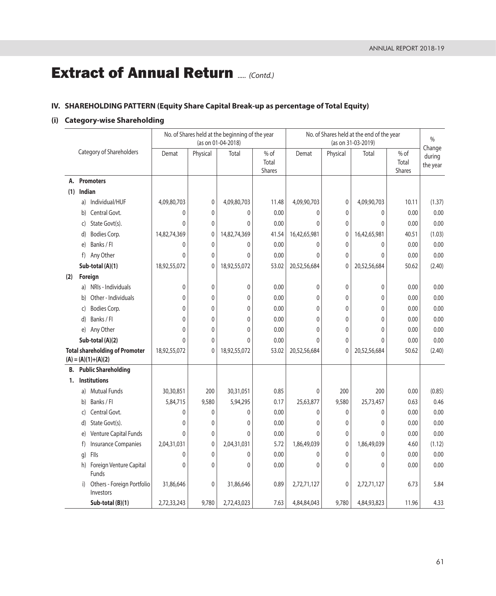# **IV. SHAREHOLDING PATTERN (Equity Share Capital Break-up as percentage of Total Equity)**

# **(i) Category-wise Shareholding**

|     |              |                                                                | No. of Shares held at the beginning of the year<br>(as on 01-04-2018) |              |              |                           | No. of Shares held at the end of the year<br>(as on 31-03-2019) |              |              |                                | $\%$                         |
|-----|--------------|----------------------------------------------------------------|-----------------------------------------------------------------------|--------------|--------------|---------------------------|-----------------------------------------------------------------|--------------|--------------|--------------------------------|------------------------------|
|     |              | Category of Shareholders                                       | Demat                                                                 | Physical     | Total        | $%$ of<br>Total<br>Shares | Demat                                                           | Physical     | Total        | % of<br>Total<br><b>Shares</b> | Change<br>during<br>the year |
| А.  |              | <b>Promoters</b>                                               |                                                                       |              |              |                           |                                                                 |              |              |                                |                              |
| (1) | Indian       |                                                                |                                                                       |              |              |                           |                                                                 |              |              |                                |                              |
|     | a)           | Individual/HUF                                                 | 4,09,80,703                                                           | 0            | 4,09,80,703  | 11.48                     | 4,09,90,703                                                     | $\mathbf 0$  | 4,09,90,703  | 10.11                          | (1.37)                       |
|     | b)           | Central Govt.                                                  | 0                                                                     | $\mathbf{0}$ | $\mathbf 0$  | 0.00                      | $\mathbf{0}$                                                    | $\mathbf{0}$ | $\mathbf 0$  | 0.00                           | 0.00                         |
|     | C)           | State Govt(s).                                                 | 0                                                                     | $\mathbf{0}$ | 0            | 0.00                      | 0                                                               | $\mathbf{0}$ | $\mathbf{0}$ | 0.00                           | 0.00                         |
|     | d)           | Bodies Corp.                                                   | 14,82,74,369                                                          | 0            | 14,82,74,369 | 41.54                     | 16,42,65,981                                                    | $\mathbf 0$  | 16,42,65,981 | 40.51                          | (1.03)                       |
|     | $\epsilon$   | Banks / Fl                                                     | 0                                                                     | 0            | 0            | 0.00                      | 0                                                               | 0            | 0            | 0.00                           | 0.00                         |
|     | f)           | Any Other                                                      | 0                                                                     | $\mathbf{0}$ | 0            | 0.00                      | $\Omega$                                                        | $\mathbf{0}$ | $\mathbf{0}$ | 0.00                           | 0.00                         |
|     |              | Sub-total (A)(1)                                               | 18,92,55,072                                                          | $\mathbf 0$  | 18,92,55,072 | 53.02                     | 20,52,56,684                                                    | $\mathbf{0}$ | 20,52,56,684 | 50.62                          | (2.40)                       |
| (2) |              | Foreign                                                        |                                                                       |              |              |                           |                                                                 |              |              |                                |                              |
|     | a)           | NRIs - Individuals                                             | 0                                                                     | $\mathbf 0$  | 0            | 0.00                      | $\mathbf{0}$                                                    | $\mathbf{0}$ | $\mathbf 0$  | 0.00                           | 0.00                         |
|     | b)           | Other - Individuals                                            | $\Omega$                                                              | $\mathbf{0}$ | $\mathbf 0$  | 0.00                      | 0                                                               | $\mathbf{0}$ | 0            | 0.00                           | 0.00                         |
|     | C)           | Bodies Corp.                                                   | $\Omega$                                                              | 0            | 0            | 0.00                      | 0                                                               | 0            | 0            | 0.00                           | 0.00                         |
|     | d)           | Banks / Fl                                                     | 0                                                                     | $\mathbf 0$  | 0            | 0.00                      | 0                                                               | $\mathbf{0}$ | 0            | 0.00                           | 0.00                         |
|     | e)           | Any Other                                                      | 0                                                                     | $\mathbf{0}$ | 0            | 0.00                      | 0                                                               | $\mathbf{0}$ | 0            | 0.00                           | 0.00                         |
|     |              | Sub-total (A)(2)                                               | $\Omega$                                                              | $\mathbf{0}$ | $\Omega$     | 0.00                      | $\Omega$                                                        | $\Omega$     | $\Omega$     | 0.00                           | 0.00                         |
|     |              | <b>Total shareholding of Promoter</b><br>$(A) = (A)(1)+(A)(2)$ | 18,92,55,072                                                          | 0            | 18,92,55,072 | 53.02                     | 20,52,56,684                                                    | 0            | 20,52,56,684 | 50.62                          | (2.40)                       |
| В.  |              | <b>Public Shareholding</b>                                     |                                                                       |              |              |                           |                                                                 |              |              |                                |                              |
| 1.  |              | <b>Institutions</b>                                            |                                                                       |              |              |                           |                                                                 |              |              |                                |                              |
|     | a)           | <b>Mutual Funds</b>                                            | 30,30,851                                                             | 200          | 30,31,051    | 0.85                      | 0                                                               | 200          | 200          | 0.00                           | (0.85)                       |
|     | b)           | Banks / Fl                                                     | 5,84,715                                                              | 9,580        | 5,94,295     | 0.17                      | 25,63,877                                                       | 9,580        | 25,73,457    | 0.63                           | 0.46                         |
|     | $\mathsf{C}$ | Central Govt.                                                  | 0                                                                     | 0            | 0            | 0.00                      | 0                                                               | $\mathbf 0$  | 0            | 0.00                           | 0.00                         |
|     | d)           | State Govt(s).                                                 | 0                                                                     | 0            | 0            | 0.00                      | 0                                                               | 0            | 0            | 0.00                           | 0.00                         |
|     | e)           | Venture Capital Funds                                          | $\Omega$                                                              | $\mathbf{0}$ | 0            | 0.00                      | 0                                                               | $\mathbf{0}$ | $\mathbf{0}$ | 0.00                           | 0.00                         |
|     | f)           | <b>Insurance Companies</b>                                     | 2,04,31,031                                                           | 0            | 2,04,31,031  | 5.72                      | 1,86,49,039                                                     | 0            | 1,86,49,039  | 4.60                           | (1.12)                       |
|     | q)           | Flls                                                           | 0                                                                     | $\mathbf{0}$ | $\mathbf{0}$ | 0.00                      | 0                                                               | $\mathbf 0$  | 0            | 0.00                           | 0.00                         |
|     | h)           | Foreign Venture Capital<br>Funds                               | $\Omega$                                                              | $\mathbf 0$  | $\mathbf{0}$ | 0.00                      | $\Omega$                                                        | $\mathbf{0}$ | 0            | 0.00                           | 0.00                         |
|     | i)           | Others - Foreign Portfolio<br>Investors                        | 31,86,646                                                             | 0            | 31,86,646    | 0.89                      | 2,72,71,127                                                     | 0            | 2,72,71,127  | 6.73                           | 5.84                         |
|     |              | Sub-total (B)(1)                                               | 2,72,33,243                                                           | 9,780        | 2,72,43,023  | 7.63                      | 4,84,84,043                                                     | 9,780        | 4,84,93,823  | 11.96                          | 4.33                         |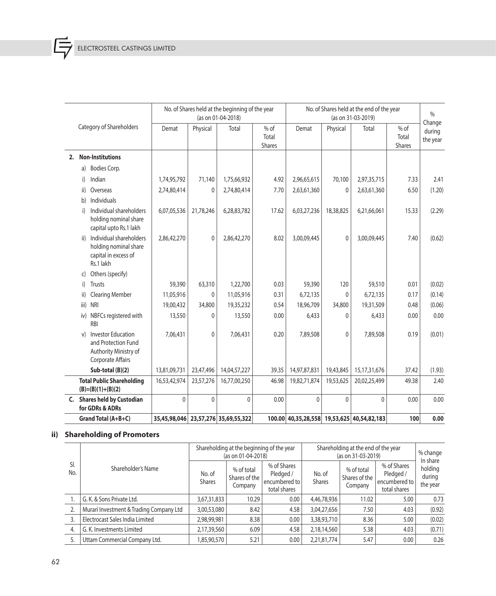扂

|    |                          |                                                                                                | No. of Shares held at the beginning of the year<br>(as on 01-04-2018) |              |                                     |                           | No. of Shares held at the end of the year<br>(as on 31-03-2019) |              |                 |                                  | $\frac{0}{0}$                |
|----|--------------------------|------------------------------------------------------------------------------------------------|-----------------------------------------------------------------------|--------------|-------------------------------------|---------------------------|-----------------------------------------------------------------|--------------|-----------------|----------------------------------|------------------------------|
|    | Category of Shareholders |                                                                                                | Demat                                                                 | Physical     | Total                               | $%$ of<br>Total<br>Shares | Demat                                                           | Physical     | Total           | $%$ of<br>Total<br><b>Shares</b> | Change<br>during<br>the year |
| 2. |                          | <b>Non-Institutions</b>                                                                        |                                                                       |              |                                     |                           |                                                                 |              |                 |                                  |                              |
|    | a)                       | Bodies Corp.                                                                                   |                                                                       |              |                                     |                           |                                                                 |              |                 |                                  |                              |
|    | i)                       | Indian                                                                                         | 1,74,95,792                                                           | 71,140       | 1,75,66,932                         | 4.92                      | 2,96,65,615                                                     | 70,100       | 2,97,35,715     | 7.33                             | 2.41                         |
|    | ii)                      | Overseas                                                                                       | 2,74,80,414                                                           | 0            | 2,74,80,414                         | 7.70                      | 2,63,61,360                                                     | 0            | 2,63,61,360     | 6.50                             | (1.20)                       |
|    | b)                       | Individuals                                                                                    |                                                                       |              |                                     |                           |                                                                 |              |                 |                                  |                              |
|    | i)                       | Individual shareholders<br>holding nominal share<br>capital upto Rs.1 lakh                     | 6,07,05,536                                                           | 21,78,246    | 6,28,83,782                         | 17.62                     | 6,03,27,236                                                     | 18,38,825    | 6,21,66,061     | 15.33                            | (2.29)                       |
|    | ii)                      | Individual shareholders<br>holding nominal share<br>capital in excess of<br>Rs.1 lakh          | 2,86,42,270                                                           | $\mathbf 0$  | 2,86,42,270                         | 8.02                      | 3,00,09,445                                                     | $\mathbf{0}$ | 3,00,09,445     | 7.40                             | (0.62)                       |
|    | C)                       | Others (specify)                                                                               |                                                                       |              |                                     |                           |                                                                 |              |                 |                                  |                              |
|    | i)                       | <b>Trusts</b>                                                                                  | 59,390                                                                | 63,310       | 1,22,700                            | 0.03                      | 59,390                                                          | 120          | 59,510          | 0.01                             | (0.02)                       |
|    | ii)                      | <b>Clearing Member</b>                                                                         | 11,05,916                                                             | 0            | 11,05,916                           | 0.31                      | 6,72,135                                                        | 0            | 6,72,135        | 0.17                             | (0.14)                       |
|    | iii)                     | <b>NRI</b>                                                                                     | 19,00,432                                                             | 34,800       | 19,35,232                           | 0.54                      | 18,96,709                                                       | 34,800       | 19,31,509       | 0.48                             | (0.06)                       |
|    | iv)                      | NBFCs registered with<br><b>RBI</b>                                                            | 13,550                                                                | 0            | 13,550                              | 0.00                      | 6,433                                                           | 0            | 6,433           | 0.00                             | 0.00                         |
|    | v)                       | <b>Investor Education</b><br>and Protection Fund<br>Authority Ministry of<br>Corporate Affairs | 7,06,431                                                              | 0            | 7,06,431                            | 0.20                      | 7,89,508                                                        | 0            | 7,89,508        | 0.19                             | (0.01)                       |
|    |                          | Sub-total (B)(2)                                                                               | 13,81,09,731                                                          | 23,47,496    | 14,04,57,227                        | 39.35                     | 14,97,87,831                                                    | 19,43,845    | 15, 17, 31, 676 | 37.42                            | (1.93)                       |
|    |                          | <b>Total Public Shareholding</b><br>$(B)=(B)(1)+(B)(2)$                                        | 16,53,42,974                                                          | 23,57,276    | 16,77,00,250                        | 46.98                     | 19,82,71,874                                                    | 19,53,625    | 20,02,25,499    | 49.38                            | 2.40                         |
| C. |                          | <b>Shares held by Custodian</b><br>for GDRs & ADRs                                             | $\mathbf 0$                                                           | $\mathbf{0}$ | $\mathbf{0}$                        | 0.00                      | $\mathbf{0}$                                                    | $\mathbf{0}$ | $\mathbf{0}$    | 0.00                             | 0.00                         |
|    |                          | Grand Total (A+B+C)                                                                            |                                                                       |              | 35,45,98,046 23,57,276 35,69,55,322 |                           | 100.00 40,35,28,558 19,53,625 40,54,82,183                      |              |                 | 100                              | 0.00                         |

# **ii) Shareholding of Promoters**

| SI.<br>No. |                                         |                    | Shareholding at the beginning of the year<br>(as on 01-04-2018) |                                        | Shareholding at the end of the year<br>(as on 31-03-2019) | % change<br>In share    |                                        |                                                           |
|------------|-----------------------------------------|--------------------|-----------------------------------------------------------------|----------------------------------------|-----------------------------------------------------------|-------------------------|----------------------------------------|-----------------------------------------------------------|
|            |                                         | Shareholder's Name | No. of<br><b>Shares</b>                                         | % of total<br>Shares of the<br>Company | % of Shares<br>Pledged /<br>encumbered to<br>total shares | No. of<br><b>Shares</b> | % of total<br>Shares of the<br>Company | % of Shares<br>Pledged /<br>encumbered to<br>total shares |
|            | G. K. & Sons Private Ltd.               | 3,67,31,833        | 10.29                                                           | 0.00                                   | 4,46,78,936                                               | 11.02                   | 5.00                                   | 0.73                                                      |
|            | Murari Investment & Trading Company Ltd | 3,00,53,080        | 8.42                                                            | 4.58                                   | 3,04,27,656                                               | 7.50                    | 4.03                                   | (0.92)                                                    |
|            | Electrocast Sales India Limited         | 2,98,99,981        | 8.38                                                            | 0.00                                   | 3,38,93,710                                               | 8.36                    | 5.00                                   | (0.02)                                                    |
| 4.         | G. K. Investments Limited               | 2,17,39,560        | 6.09                                                            | 4.58                                   | 2,18,14,560                                               | 5.38                    | 4.03                                   | (0.71)                                                    |
|            | Uttam Commercial Company Ltd.           | 85,90,570          | 5.21                                                            | 0.00                                   | 2,21,81,774                                               | 5.47                    | 0.00                                   | 0.26                                                      |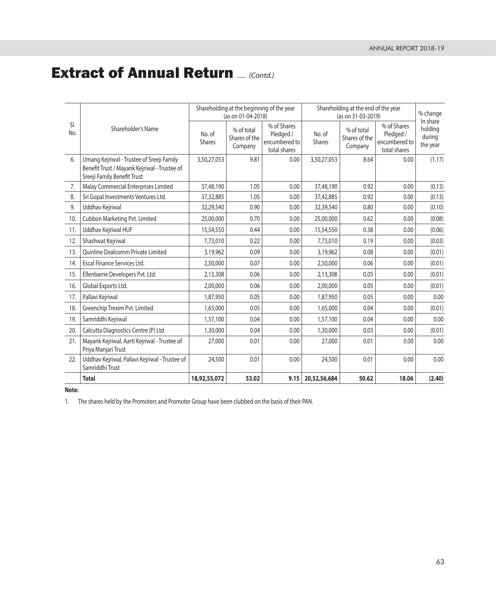|            |                                                                                                                          |                         | Shareholding at the beginning of the year<br>(as on 01-04-2018) |                                                           | Shareholding at the end of the year<br>(as on 31-03-2019) | % change                               |                                                           |                                           |
|------------|--------------------------------------------------------------------------------------------------------------------------|-------------------------|-----------------------------------------------------------------|-----------------------------------------------------------|-----------------------------------------------------------|----------------------------------------|-----------------------------------------------------------|-------------------------------------------|
| SI.<br>No. | Shareholder's Name                                                                                                       | No. of<br><b>Shares</b> | % of total<br>Shares of the<br>Company                          | % of Shares<br>Pledged /<br>encumbered to<br>total shares | No. of<br>Shares                                          | % of total<br>Shares of the<br>Company | % of Shares<br>Pledged /<br>encumbered to<br>total shares | In share<br>holding<br>during<br>the year |
| 6.         | Umang Kejriwal - Trustee of Sreeji Family<br>Benefit Trust / Mayank Kejriwal - Trustee of<br>Sreeji Family Benefit Trust | 3,50,27,053             | 9.81                                                            | 0.00                                                      | 3,50,27,053                                               | 8.64                                   | 0.00                                                      | (1.17)                                    |
| 7.         | Malay Commercial Enterprises Limited                                                                                     | 37,48,190               | 1.05                                                            | 0.00                                                      | 37,48,190                                                 | 0.92                                   | 0.00                                                      | (0.13)                                    |
| 8.         | Sri Gopal Investments Ventures Ltd.                                                                                      | 37, 32, 885             | 1.05                                                            | 0.00                                                      | 37,42,885                                                 | 0.92                                   | 0.00                                                      | (0.13)                                    |
| 9.         | Uddhav Kejriwal                                                                                                          | 32,29,540               | 0.90                                                            | 0.00                                                      | 32,39,540                                                 | 0.80                                   | 0.00                                                      | (0.10)                                    |
| 10.        | Cubbon Marketing Pvt. Limited                                                                                            | 25,00,000               | 0.70                                                            | 0.00                                                      | 25,00,000                                                 | 0.62                                   | 0.00                                                      | (0.08)                                    |
| 11.        | Uddhav Kejriwal HUF                                                                                                      | 15,54,550               | 0.44                                                            | 0.00                                                      | 15,54,550                                                 | 0.38                                   | 0.00                                                      | (0.06)                                    |
| 12.        | Shashwat Kejriwal                                                                                                        | 7,73,010                | 0.22                                                            | 0.00                                                      | 7,73,010                                                  | 0.19                                   | 0.00                                                      | (0.03)                                    |
| 13.        | <b>Ouinline Dealcomm Private Limited</b>                                                                                 | 3,19,962                | 0.09                                                            | 0.00                                                      | 3,19,962                                                  | 0.08                                   | 0.00                                                      | (0.01)                                    |
| 14.        | Escal Finance Services Ltd.                                                                                              | 2,50,000                | 0.07                                                            | 0.00                                                      | 2,50,000                                                  | 0.06                                   | 0.00                                                      | (0.01)                                    |
| 15.        | Ellenbarrie Developers Pvt. Ltd.                                                                                         | 2,13,308                | 0.06                                                            | 0.00                                                      | 2,13,308                                                  | 0.05                                   | 0.00                                                      | (0.01)                                    |
| 16.        | Global Exports Ltd.                                                                                                      | 2,00,000                | 0.06                                                            | 0.00                                                      | 2,00,000                                                  | 0.05                                   | 0.00                                                      | (0.01)                                    |
| 17.        | Pallavi Kejriwal                                                                                                         | 1,87,950                | 0.05                                                            | 0.00                                                      | 1,87,950                                                  | 0.05                                   | 0.00                                                      | 0.00                                      |
| 18.        | Greenchip Trexim Pvt. Limited                                                                                            | 1,65,000                | 0.05                                                            | 0.00                                                      | 1,65,000                                                  | 0.04                                   | 0.00                                                      | (0.01)                                    |
| 19.        | Samriddhi Kejriwal                                                                                                       | 1,57,100                | 0.04                                                            | 0.00                                                      | 1,57,100                                                  | 0.04                                   | 0.00                                                      | 0.00                                      |
| 20.        | Calcutta Diagnostics Centre (P) Ltd                                                                                      | 1,30,000                | 0.04                                                            | 0.00                                                      | 1,30,000                                                  | 0.03                                   | 0.00                                                      | (0.01)                                    |
| 21.        | Mayank Kejriwal, Aarti Kejriwal - Trustee of<br>Priya Manjari Trust                                                      | 27,000                  | 0.01                                                            | 0.00                                                      | 27,000                                                    | 0.01                                   | 0.00                                                      | 0.00                                      |
| 22.        | Uddhav Kejriwal, Pallavi Kejriwal - Trustee of<br>Samriddhi Trust                                                        | 24,500                  | 0.01                                                            | 0.00                                                      | 24,500                                                    | 0.01                                   | 0.00                                                      | 0.00                                      |
|            | <b>Total</b>                                                                                                             | 18,92,55,072            | 53.02                                                           | 9.15                                                      | 20,52,56,684                                              | 50.62                                  | 18.06                                                     | (2.40)                                    |

### **Note:**

1. The shares held by the Promoters and Promoter Group have been clubbed on the basis of their PAN.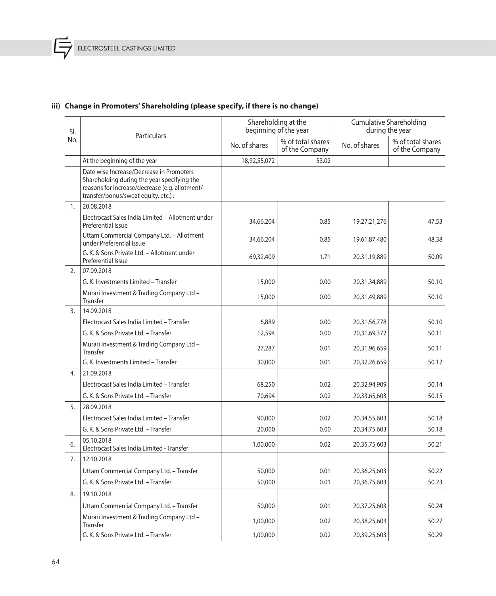匡

# **iii) Change in Promoters' Shareholding (please specify, if there is no change)**

| SI.              |                                                                                                                                                                                   |               | Shareholding at the<br>beginning of the year | <b>Cumulative Shareholding</b><br>during the year |                                     |  |
|------------------|-----------------------------------------------------------------------------------------------------------------------------------------------------------------------------------|---------------|----------------------------------------------|---------------------------------------------------|-------------------------------------|--|
| No.              | Particulars                                                                                                                                                                       | No. of shares | % of total shares<br>of the Company          | No. of shares                                     | % of total shares<br>of the Company |  |
|                  | At the beginning of the year                                                                                                                                                      | 18,92,55,072  | 53.02                                        |                                                   |                                     |  |
|                  | Date wise Increase/Decrease in Promoters<br>Shareholding during the year specifying the<br>reasons for increase/decrease (e.g. allotment/<br>transfer/bonus/sweat equity, etc.) : |               |                                              |                                                   |                                     |  |
| 1.               | 20.08.2018                                                                                                                                                                        |               |                                              |                                                   |                                     |  |
|                  | Electrocast Sales India Limited - Allotment under<br>Preferential Issue                                                                                                           | 34,66,204     | 0.85                                         | 19,27,21,276                                      | 47.53                               |  |
|                  | Uttam Commercial Company Ltd. - Allotment<br>under Preferential Issue                                                                                                             | 34,66,204     | 0.85                                         | 19,61,87,480                                      | 48.38                               |  |
|                  | G. K. & Sons Private Ltd. - Allotment under<br>Preferential Issue                                                                                                                 | 69,32,409     | 1.71                                         | 20,31,19,889                                      | 50.09                               |  |
| 2.               | 07.09.2018                                                                                                                                                                        |               |                                              |                                                   |                                     |  |
|                  | G. K. Investments Limited - Transfer                                                                                                                                              | 15,000        | 0.00                                         | 20,31,34,889                                      | 50.10                               |  |
|                  | Murari Investment & Trading Company Ltd -<br>Transfer                                                                                                                             | 15,000        | 0.00                                         | 20,31,49,889                                      | 50.10                               |  |
| $\overline{3}$ . | 14.09.2018                                                                                                                                                                        |               |                                              |                                                   |                                     |  |
|                  | Electrocast Sales India Limited - Transfer                                                                                                                                        | 6,889         | 0.00                                         | 20,31,56,778                                      | 50.10                               |  |
|                  | G. K. & Sons Private Ltd. - Transfer                                                                                                                                              | 12,594        | 0.00                                         | 20,31,69,372                                      | 50.11                               |  |
|                  | Murari Investment & Trading Company Ltd -<br>Transfer                                                                                                                             | 27,287        | 0.01                                         | 20,31,96,659                                      | 50.11                               |  |
|                  | G. K. Investments Limited - Transfer                                                                                                                                              | 30,000        | 0.01                                         | 20,32,26,659                                      | 50.12                               |  |
| 4.               | 21.09.2018                                                                                                                                                                        |               |                                              |                                                   |                                     |  |
|                  | Electrocast Sales India Limited - Transfer                                                                                                                                        | 68,250        | 0.02                                         | 20,32,94,909                                      | 50.14                               |  |
|                  | G. K. & Sons Private Ltd. - Transfer                                                                                                                                              | 70,694        | 0.02                                         | 20,33,65,603                                      | 50.15                               |  |
| 5.               | 28.09.2018                                                                                                                                                                        |               |                                              |                                                   |                                     |  |
|                  | Electrocast Sales India Limited - Transfer                                                                                                                                        | 90,000        | 0.02                                         | 20,34,55,603                                      | 50.18                               |  |
|                  | G. K. & Sons Private Ltd. - Transfer                                                                                                                                              | 20,000        | 0.00                                         | 20,34,75,603                                      | 50.18                               |  |
| 6.               | 05.10.2018<br>Electrocast Sales India Limited - Transfer                                                                                                                          | 1,00,000      | 0.02                                         | 20,35,75,603                                      | 50.21                               |  |
| 7.               | 12.10.2018                                                                                                                                                                        |               |                                              |                                                   |                                     |  |
|                  | Uttam Commercial Company Ltd. - Transfer                                                                                                                                          | 50,000        | 0.01                                         | 20,36,25,603                                      | 50.22                               |  |
|                  | G. K. & Sons Private Ltd. - Transfer                                                                                                                                              | 50,000        | 0.01                                         | 20,36,75,603                                      | 50.23                               |  |
| 8.               | 19.10.2018                                                                                                                                                                        |               |                                              |                                                   |                                     |  |
|                  | Uttam Commercial Company Ltd. - Transfer                                                                                                                                          | 50,000        | 0.01                                         | 20,37,25,603                                      | 50.24                               |  |
|                  | Murari Investment & Trading Company Ltd -<br>Transfer                                                                                                                             | 1,00,000      | 0.02                                         | 20,38,25,603                                      | 50.27                               |  |
|                  | G. K. & Sons Private Ltd. - Transfer                                                                                                                                              | 1,00,000      | 0.02                                         | 20,39,25,603                                      | 50.29                               |  |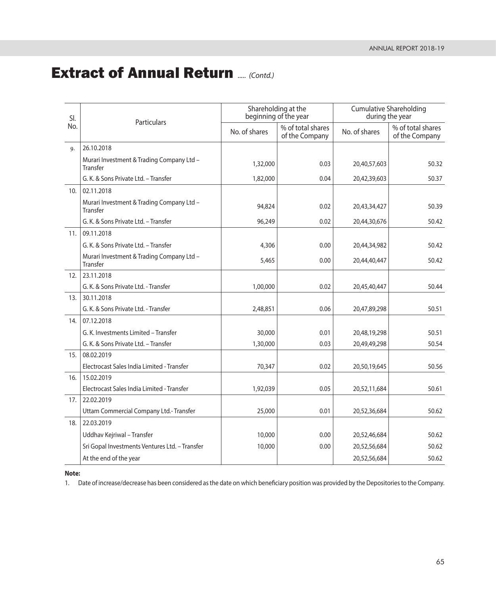| SI. | Particulars                                           |               | Shareholding at the<br>beginning of the year | <b>Cumulative Shareholding</b><br>during the year |                                     |  |
|-----|-------------------------------------------------------|---------------|----------------------------------------------|---------------------------------------------------|-------------------------------------|--|
| No. |                                                       | No. of shares | % of total shares<br>of the Company          | No. of shares                                     | % of total shares<br>of the Company |  |
| 9.  | 26.10.2018                                            |               |                                              |                                                   |                                     |  |
|     | Murari Investment & Trading Company Ltd -<br>Transfer | 1,32,000      | 0.03                                         | 20,40,57,603                                      | 50.32                               |  |
|     | G. K. & Sons Private Ltd. - Transfer                  | 1,82,000      | 0.04                                         | 20,42,39,603                                      | 50.37                               |  |
| 10. | 02.11.2018                                            |               |                                              |                                                   |                                     |  |
|     | Murari Investment & Trading Company Ltd -<br>Transfer | 94,824        | 0.02                                         | 20,43,34,427                                      | 50.39                               |  |
|     | G. K. & Sons Private Ltd. - Transfer                  | 96,249        | 0.02                                         | 20,44,30,676                                      | 50.42                               |  |
| 11. | 09.11.2018                                            |               |                                              |                                                   |                                     |  |
|     | G. K. & Sons Private Ltd. - Transfer                  | 4,306         | 0.00                                         | 20,44,34,982                                      | 50.42                               |  |
|     | Murari Investment & Trading Company Ltd -<br>Transfer | 5,465         | 0.00                                         | 20,44,40,447                                      | 50.42                               |  |
| 12. | 23.11.2018                                            |               |                                              |                                                   |                                     |  |
|     | G. K. & Sons Private Ltd. - Transfer                  | 1,00,000      | 0.02                                         | 20,45,40,447                                      | 50.44                               |  |
| 13. | 30.11.2018                                            |               |                                              |                                                   |                                     |  |
|     | G. K. & Sons Private Ltd. - Transfer                  | 2,48,851      | 0.06                                         | 20,47,89,298                                      | 50.51                               |  |
| 14. | 07.12.2018                                            |               |                                              |                                                   |                                     |  |
|     | G. K. Investments Limited - Transfer                  | 30,000        | 0.01                                         | 20,48,19,298                                      | 50.51                               |  |
|     | G. K. & Sons Private Ltd. - Transfer                  | 1,30,000      | 0.03                                         | 20,49,49,298                                      | 50.54                               |  |
| 15. | 08.02.2019                                            |               |                                              |                                                   |                                     |  |
|     | Electrocast Sales India Limited - Transfer            | 70,347        | 0.02                                         | 20,50,19,645                                      | 50.56                               |  |
| 16. | 15.02.2019                                            |               |                                              |                                                   |                                     |  |
|     | Electrocast Sales India Limited - Transfer            | 1,92,039      | 0.05                                         | 20,52,11,684                                      | 50.61                               |  |
| 17. | 22.02.2019                                            |               |                                              |                                                   |                                     |  |
|     | Uttam Commercial Company Ltd.- Transfer               | 25,000        | 0.01                                         | 20,52,36,684                                      | 50.62                               |  |
| 18. | 22.03.2019                                            |               |                                              |                                                   |                                     |  |
|     | Uddhav Kejriwal - Transfer                            | 10,000        | 0.00                                         | 20,52,46,684                                      | 50.62                               |  |
|     | Sri Gopal Investments Ventures Ltd. - Transfer        | 10,000        | 0.00                                         | 20,52,56,684                                      | 50.62                               |  |
|     | At the end of the year                                |               |                                              | 20,52,56,684                                      | 50.62                               |  |

**Note:**

1. Date of increase/decrease has been considered as the date on which beneficiary position was provided by the Depositories to the Company.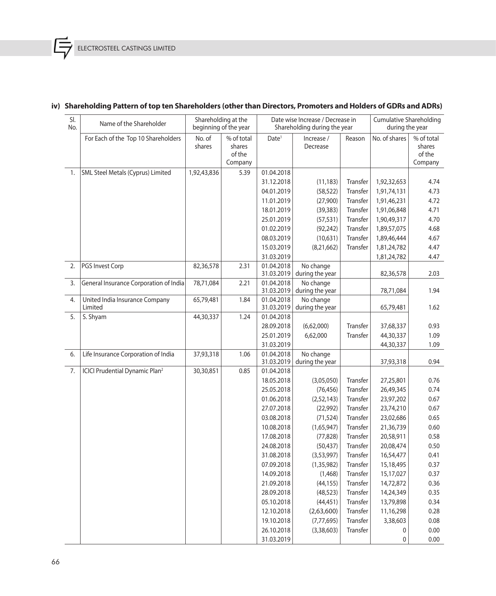Ē

| SI. | Name of the Shareholder                          | Shareholding at the   |                  | Date wise Increase / Decrease in |                              |          | <b>Cumulative Shareholding</b> |                  |  |
|-----|--------------------------------------------------|-----------------------|------------------|----------------------------------|------------------------------|----------|--------------------------------|------------------|--|
| No. |                                                  | beginning of the year |                  |                                  | Shareholding during the year |          | during the year                |                  |  |
|     | For Each of the Top 10 Shareholders              | No. of                | % of total       | Date <sup>1</sup>                | Increase /                   | Reason   | No. of shares                  | % of total       |  |
|     |                                                  | shares                | shares<br>of the |                                  | Decrease                     |          |                                | shares<br>of the |  |
|     |                                                  |                       | Company          |                                  |                              |          |                                | Company          |  |
| 1.  | SML Steel Metals (Cyprus) Limited                | 1,92,43,836           | 5.39             | 01.04.2018                       |                              |          |                                |                  |  |
|     |                                                  |                       |                  | 31.12.2018                       | (11, 183)                    | Transfer | 1,92,32,653                    | 4.74             |  |
|     |                                                  |                       |                  | 04.01.2019                       | (58, 522)                    | Transfer | 1,91,74,131                    | 4.73             |  |
|     |                                                  |                       |                  | 11.01.2019                       | (27,900)                     | Transfer | 1,91,46,231                    | 4.72             |  |
|     |                                                  |                       |                  | 18.01.2019                       | (39, 383)                    | Transfer | 1,91,06,848                    | 4.71             |  |
|     |                                                  |                       |                  | 25.01.2019                       | (57, 531)                    | Transfer | 1,90,49,317                    | 4.70             |  |
|     |                                                  |                       |                  | 01.02.2019                       | (92, 242)                    | Transfer | 1,89,57,075                    | 4.68             |  |
|     |                                                  |                       |                  | 08.03.2019                       | (10, 631)                    | Transfer | 1,89,46,444                    | 4.67             |  |
|     |                                                  |                       |                  | 15.03.2019                       | (8, 21, 662)                 | Transfer | 1,81,24,782                    | 4.47             |  |
|     |                                                  |                       |                  | 31.03.2019                       |                              |          | 1,81,24,782                    | 4.47             |  |
| 2.  | PGS Invest Corp                                  | 82,36,578             | 2.31             | 01.04.2018                       | No change                    |          |                                |                  |  |
|     |                                                  |                       |                  | 31.03.2019                       | during the year              |          | 82,36,578                      | 2.03             |  |
| 3.  | General Insurance Corporation of India           | 78,71,084             | 2.21             | 01.04.2018                       | No change                    |          |                                |                  |  |
|     |                                                  |                       |                  | 31.03.2019                       | during the year              |          | 78,71,084                      | 1.94             |  |
| 4.  | United India Insurance Company                   | 65,79,481             | 1.84             | 01.04.2018                       | No change                    |          |                                |                  |  |
|     | Limited                                          |                       |                  | 31.03.2019                       | during the year              |          | 65,79,481                      | 1.62             |  |
| 5.  | S. Shyam                                         | 44,30,337             | 1.24             | 01.04.2018                       |                              |          |                                |                  |  |
|     |                                                  |                       |                  | 28.09.2018                       | (6,62,000)                   | Transfer | 37,68,337                      | 0.93             |  |
|     |                                                  |                       |                  | 25.01.2019                       | 6,62,000                     | Transfer | 44,30,337                      | 1.09             |  |
|     |                                                  |                       |                  | 31.03.2019                       |                              |          | 44,30,337                      | 1.09             |  |
| 6.  | Life Insurance Corporation of India              | 37,93,318             | 1.06             | 01.04.2018<br>31.03.2019         | No change<br>during the year |          | 37,93,318                      | 0.94             |  |
| 7.  | <b>ICICI Prudential Dynamic Plan<sup>2</sup></b> | 30,30,851             | 0.85             | 01.04.2018                       |                              |          |                                |                  |  |
|     |                                                  |                       |                  | 18.05.2018                       | (3,05,050)                   | Transfer | 27,25,801                      | 0.76             |  |
|     |                                                  |                       |                  | 25.05.2018                       | (76, 456)                    | Transfer | 26,49,345                      | 0.74             |  |
|     |                                                  |                       |                  | 01.06.2018                       | (2,52,143)                   | Transfer | 23,97,202                      | 0.67             |  |
|     |                                                  |                       |                  | 27.07.2018                       | (22, 992)                    | Transfer | 23,74,210                      | 0.67             |  |
|     |                                                  |                       |                  | 03.08.2018                       | (71, 524)                    | Transfer | 23,02,686                      | 0.65             |  |
|     |                                                  |                       |                  | 10.08.2018                       | (1,65,947)                   | Transfer | 21,36,739                      | 0.60             |  |
|     |                                                  |                       |                  | 17.08.2018                       | (77, 828)                    | Transfer | 20,58,911                      | 0.58             |  |
|     |                                                  |                       |                  | 24.08.2018                       | (50, 437)                    | Transfer | 20,08,474                      | 0.50             |  |
|     |                                                  |                       |                  | 31.08.2018                       | (3,53,997)                   | Transfer | 16,54,477                      | 0.41             |  |
|     |                                                  |                       |                  | 07.09.2018                       | (1, 35, 982)                 | Transfer | 15,18,495                      | 0.37             |  |
|     |                                                  |                       |                  | 14.09.2018                       | (1,468)                      | Transfer | 15,17,027                      | 0.37             |  |
|     |                                                  |                       |                  | 21.09.2018                       | (44, 155)                    | Transfer | 14,72,872                      | 0.36             |  |
|     |                                                  |                       |                  | 28.09.2018                       | (48, 523)                    | Transfer | 14,24,349                      | 0.35             |  |
|     |                                                  |                       |                  | 05.10.2018                       | (44, 451)                    | Transfer | 13,79,898                      | 0.34             |  |
|     |                                                  |                       |                  | 12.10.2018                       | (2,63,600)                   | Transfer | 11,16,298                      | 0.28             |  |
|     |                                                  |                       |                  | 19.10.2018                       | (7, 77, 695)                 | Transfer | 3,38,603                       | 0.08             |  |
|     |                                                  |                       |                  | 26.10.2018                       | (3, 38, 603)                 | Transfer | 0                              | 0.00             |  |
|     |                                                  |                       |                  | 31.03.2019                       |                              |          | 0                              | 0.00             |  |

# **iv) Shareholding Pattern of top ten Shareholders (other than Directors, Promoters and Holders of GDRs and ADRs)**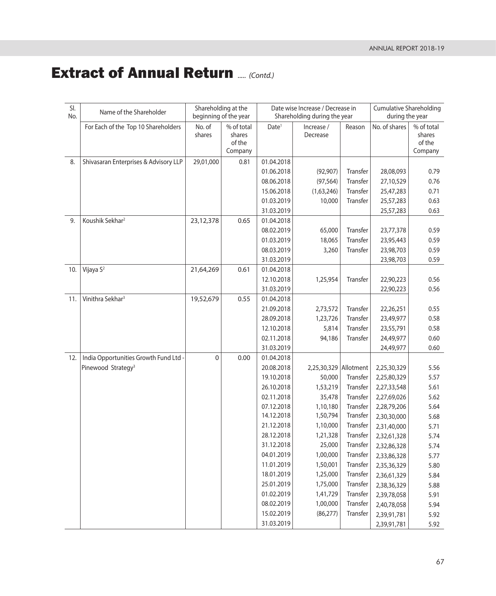| SI. | Name of the Shareholder               | Shareholding at the   |                  | Date wise Increase / Decrease in |                              |          | <b>Cumulative Shareholding</b> |                  |
|-----|---------------------------------------|-----------------------|------------------|----------------------------------|------------------------------|----------|--------------------------------|------------------|
| No. |                                       | beginning of the year |                  |                                  | Shareholding during the year |          | during the year                |                  |
|     | For Each of the Top 10 Shareholders   | No. of                | % of total       | Date <sup>1</sup>                | Increase /                   | Reason   | No. of shares                  | % of total       |
|     |                                       | shares                | shares<br>of the |                                  | Decrease                     |          |                                | shares<br>of the |
|     |                                       |                       | Company          |                                  |                              |          |                                | Company          |
| 8.  | Shivasaran Enterprises & Advisory LLP | 29,01,000             | 0.81             | 01.04.2018                       |                              |          |                                |                  |
|     |                                       |                       |                  | 01.06.2018                       | (92, 907)                    | Transfer | 28,08,093                      | 0.79             |
|     |                                       |                       |                  | 08.06.2018                       | (97, 564)                    | Transfer | 27,10,529                      | 0.76             |
|     |                                       |                       |                  | 15.06.2018                       | (1,63,246)                   | Transfer | 25,47,283                      | 0.71             |
|     |                                       |                       |                  | 01.03.2019                       | 10,000                       | Transfer | 25,57,283                      | 0.63             |
|     |                                       |                       |                  | 31.03.2019                       |                              |          | 25,57,283                      | 0.63             |
| 9.  | Koushik Sekhar <sup>2</sup>           | 23,12,378             | 0.65             | 01.04.2018                       |                              |          |                                |                  |
|     |                                       |                       |                  | 08.02.2019                       | 65,000                       | Transfer | 23,77,378                      | 0.59             |
|     |                                       |                       |                  | 01.03.2019                       | 18,065                       | Transfer | 23,95,443                      | 0.59             |
|     |                                       |                       |                  | 08.03.2019                       | 3,260                        | Transfer | 23,98,703                      | 0.59             |
|     |                                       |                       |                  | 31.03.2019                       |                              |          | 23,98,703                      | 0.59             |
| 10. | Vijaya S <sup>2</sup>                 | 21,64,269             | 0.61             | 01.04.2018                       |                              |          |                                |                  |
|     |                                       |                       |                  | 12.10.2018                       | 1,25,954                     | Transfer | 22,90,223                      | 0.56             |
|     |                                       |                       |                  | 31.03.2019                       |                              |          | 22,90,223                      | 0.56             |
| 11. | Vinithra Sekhar <sup>3</sup>          | 19,52,679             | 0.55             | 01.04.2018                       |                              |          |                                |                  |
|     |                                       |                       |                  | 21.09.2018                       | 2,73,572                     | Transfer | 22,26,251                      | 0.55             |
|     |                                       |                       |                  | 28.09.2018                       | 1,23,726                     | Transfer | 23,49,977                      | 0.58             |
|     |                                       |                       |                  | 12.10.2018                       | 5,814                        | Transfer | 23,55,791                      | 0.58             |
|     |                                       |                       |                  | 02.11.2018                       | 94,186                       | Transfer | 24,49,977                      | 0.60             |
|     |                                       |                       |                  | 31.03.2019                       |                              |          | 24,49,977                      | 0.60             |
| 12. | India Opportunities Growth Fund Ltd - | 0                     | 0.00             | 01.04.2018                       |                              |          |                                |                  |
|     | Pinewood Strategy <sup>3</sup>        |                       |                  | 20.08.2018                       | 2,25,30,329 Allotment        |          | 2,25,30,329                    | 5.56             |
|     |                                       |                       |                  | 19.10.2018                       | 50,000                       | Transfer | 2,25,80,329                    | 5.57             |
|     |                                       |                       |                  | 26.10.2018                       | 1,53,219                     | Transfer | 2,27,33,548                    | 5.61             |
|     |                                       |                       |                  | 02.11.2018                       | 35,478                       | Transfer | 2,27,69,026                    | 5.62             |
|     |                                       |                       |                  | 07.12.2018                       | 1,10,180                     | Transfer | 2,28,79,206                    | 5.64             |
|     |                                       |                       |                  | 14.12.2018                       | 1,50,794                     | Transfer | 2,30,30,000                    | 5.68             |
|     |                                       |                       |                  | 21.12.2018                       | 1,10,000                     | Transfer | 2,31,40,000                    | 5.71             |
|     |                                       |                       |                  | 28.12.2018                       | 1,21,328                     | Transfer | 2,32,61,328                    | 5.74             |
|     |                                       |                       |                  | 31.12.2018                       | 25,000                       | Transfer | 2,32,86,328                    | 5.74             |
|     |                                       |                       |                  | 04.01.2019                       | 1,00,000                     | Transfer | 2,33,86,328                    | 5.77             |
|     |                                       |                       |                  | 11.01.2019                       | 1,50,001                     | Transfer | 2,35,36,329                    | 5.80             |
|     |                                       |                       |                  | 18.01.2019                       | 1,25,000                     | Transfer | 2,36,61,329                    | 5.84             |
|     |                                       |                       |                  | 25.01.2019                       | 1,75,000                     | Transfer | 2,38,36,329                    | 5.88             |
|     |                                       |                       |                  | 01.02.2019                       | 1,41,729                     | Transfer | 2,39,78,058                    | 5.91             |
|     |                                       |                       |                  | 08.02.2019                       | 1,00,000                     | Transfer | 2,40,78,058                    | 5.94             |
|     |                                       |                       |                  | 15.02.2019                       | (86, 277)                    | Transfer | 2,39,91,781                    | 5.92             |
|     |                                       |                       |                  | 31.03.2019                       |                              |          | 2,39,91,781                    | 5.92             |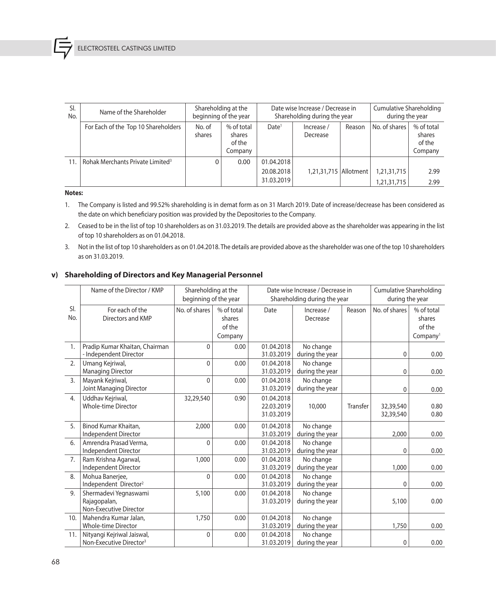| SI.<br>No. | Name of the Shareholder                      |                  | Shareholding at the<br>Date wise Increase / Decrease in<br>beginning of the year<br>Shareholding during the year |                   |                         | <b>Cumulative Shareholding</b><br>during the year |               |                                           |
|------------|----------------------------------------------|------------------|------------------------------------------------------------------------------------------------------------------|-------------------|-------------------------|---------------------------------------------------|---------------|-------------------------------------------|
|            | For Each of the Top 10 Shareholders          | No. of<br>shares | % of total<br>shares<br>of the<br>Company                                                                        | Date <sup>1</sup> | Increase/<br>Decrease   | Reason                                            | No. of shares | % of total<br>shares<br>of the<br>Company |
| 11.        | Rohak Merchants Private Limited <sup>3</sup> |                  | 0.00                                                                                                             | 01.04.2018        |                         |                                                   |               |                                           |
|            |                                              |                  |                                                                                                                  | 20.08.2018        | 1,21,31,715   Allotment |                                                   | 1,21,31,715   | 2.99                                      |
|            |                                              |                  |                                                                                                                  | 31.03.2019        |                         |                                                   | 1,21,31,715   | 2.99                                      |

#### **Notes:**

 1. The Company is listed and 99.52% shareholding is in demat form as on 31 March 2019. Date of increase/decrease has been considered as the date on which beneficiary position was provided by the Depositories to the Company.

- 2. Ceased to be in the list of top 10 shareholders as on 31.03.2019. The details are provided above as the shareholder was appearing in the list of top 10 shareholders as on 01.04.2018.
- 3. Not in the list of top 10 shareholders as on 01.04.2018. The details are provided above as the shareholder was one of the top 10 shareholders as on 31.03.2019.

#### **v) Shareholding of Directors and Key Managerial Personnel**

|     | Name of the Director / KMP          | Shareholding at the   |            | Date wise Increase / Decrease in |                              |          | <b>Cumulative Shareholding</b> |                      |  |
|-----|-------------------------------------|-----------------------|------------|----------------------------------|------------------------------|----------|--------------------------------|----------------------|--|
|     |                                     | beginning of the year |            |                                  | Shareholding during the year |          | during the year                |                      |  |
| SI. | For each of the                     | No. of shares         | % of total | Date                             | Increase /                   | Reason   | No. of shares                  | % of total           |  |
| No. | Directors and KMP                   |                       | shares     |                                  | Decrease                     |          |                                | shares               |  |
|     |                                     |                       | of the     |                                  |                              |          |                                | of the               |  |
|     |                                     |                       | Company    |                                  |                              |          |                                | Company <sup>1</sup> |  |
| 1.  | Pradip Kumar Khaitan, Chairman      | 0                     | 0.00       | 01.04.2018                       | No change                    |          |                                |                      |  |
|     | - Independent Director              |                       |            | 31.03.2019                       | during the year              |          | $\mathbf{0}$                   | 0.00                 |  |
| 2.  | Umang Kejriwal,                     | 0                     | 0.00       | 01.04.2018                       | No change                    |          |                                |                      |  |
|     | <b>Managing Director</b>            |                       |            | 31.03.2019                       | during the year              |          | $\mathbf{0}$                   | 0.00                 |  |
| 3.  | Mayank Kejriwal,                    | 0                     | 0.00       | 01.04.2018                       | No change                    |          |                                |                      |  |
|     | Joint Managing Director             |                       |            | 31.03.2019                       | during the year              |          | $\mathbf{0}$                   | 0.00                 |  |
| 4.  | Uddhav Kejriwal,                    | 32,29,540             | 0.90       | 01.04.2018                       |                              |          |                                |                      |  |
|     | <b>Whole-time Director</b>          |                       |            | 22.03.2019                       | 10,000                       | Transfer | 32,39,540                      | 0.80                 |  |
|     |                                     |                       |            | 31.03.2019                       |                              |          | 32,39,540                      | 0.80                 |  |
| 5.  | Binod Kumar Khaitan.                | 2,000                 | 0.00       | 01.04.2018                       | No change                    |          |                                |                      |  |
|     | Independent Director                |                       |            | 31.03.2019                       | during the year              |          | 2,000                          | 0.00                 |  |
| 6.  | Amrendra Prasad Verma.              | 0                     | 0.00       | 01.04.2018                       | No change                    |          |                                |                      |  |
|     | Independent Director                |                       |            | 31.03.2019                       | during the year              |          | $\mathbf{0}$                   | 0.00                 |  |
| 7.  | Ram Krishna Agarwal,                | 1,000                 | 0.00       | 01.04.2018                       | No change                    |          |                                |                      |  |
|     | Independent Director                |                       |            | 31.03.2019                       | during the year              |          | 1,000                          | 0.00                 |  |
| 8.  | Mohua Banerjee,                     | 0                     | 0.00       | 01.04.2018                       | No change                    |          |                                |                      |  |
|     | Independent Director <sup>2</sup>   |                       |            | 31.03.2019                       | during the year              |          | $\Omega$                       | 0.00                 |  |
| 9.  | Shermadevi Yegnaswami               | 5,100                 | 0.00       | 01.04.2018                       | No change                    |          |                                |                      |  |
|     | Rajagopalan,                        |                       |            | 31.03.2019                       | during the year              |          | 5,100                          | 0.00                 |  |
|     | Non-Executive Director              |                       |            |                                  |                              |          |                                |                      |  |
| 10. | Mahendra Kumar Jalan.               | 1,750                 | 0.00       | 01.04.2018                       | No change                    |          |                                |                      |  |
|     | <b>Whole-time Director</b>          |                       |            | 31.03.2019                       | during the year              |          | 1,750                          | 0.00                 |  |
| 11. | Nityangi Kejriwal Jaiswal,          | $\mathbf{0}$          | 0.00       | 01.04.2018                       | No change                    |          |                                |                      |  |
|     | Non-Executive Director <sup>3</sup> |                       |            | 31.03.2019                       | during the year              |          | $\mathbf{0}$                   | 0.00                 |  |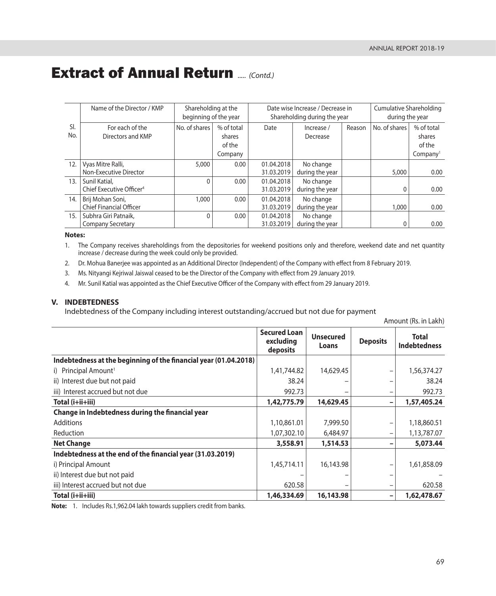Amount (Rs. in Lakh)

# **Extract of Annual Return ...... (Contd.)**

|            | Name of the Director / KMP                            | Shareholding at the<br>beginning of the year |                                           |                          | Date wise Increase / Decrease in<br>Shareholding during the year | Cumulative Shareholding<br>during the year |               |                                                        |
|------------|-------------------------------------------------------|----------------------------------------------|-------------------------------------------|--------------------------|------------------------------------------------------------------|--------------------------------------------|---------------|--------------------------------------------------------|
| SI.<br>No. | For each of the<br>Directors and KMP                  | No. of shares                                | % of total<br>shares<br>of the<br>Company | Date                     | Increase /<br>Decrease                                           | Reason                                     | No. of shares | % of total<br>shares<br>of the<br>Company <sup>1</sup> |
| 12.        | Vyas Mitre Ralli,<br>Non-Executive Director           | 5,000                                        | 0.00                                      | 01.04.2018<br>31.03.2019 | No change<br>during the year                                     |                                            | 5,000         | 0.00                                                   |
| 13.        | Sunil Katial,<br>Chief Executive Officer <sup>4</sup> | 0                                            | 0.00                                      | 01.04.2018<br>31.03.2019 | No change<br>during the year                                     |                                            | $\Omega$      | 0.00                                                   |
| 14.        | Brij Mohan Soni,<br><b>Chief Financial Officer</b>    | 1,000                                        | 0.00                                      | 01.04.2018<br>31.03.2019 | No change<br>during the year                                     |                                            | 1,000         | 0.00                                                   |
| 15.        | Subhra Giri Patnaik.<br><b>Company Secretary</b>      | 0                                            | 0.00                                      | 01.04.2018<br>31.03.2019 | No change<br>during the year                                     |                                            | 0             | 0.00                                                   |

#### **Notes:**

 1. The Company receives shareholdings from the depositories for weekend positions only and therefore, weekend date and net quantity increase / decrease during the week could only be provided.

2. Dr. Mohua Banerjee was appointed as an Additional Director (Independent) of the Company with effect from 8 February 2019.

3. Ms. Nityangi Kejriwal Jaiswal ceased to be the Director of the Company with effect from 29 January 2019.

4. Mr. Sunil Katial was appointed as the Chief Executive Officer of the Company with effect from 29 January 2019.

#### **V. INDEBTEDNESS**

Indebtedness of the Company including interest outstanding/accrued but not due for payment

|                                                                  | <b>Secured Loan</b><br>excluding<br>deposits | <b>Unsecured</b><br>Loans | <b>Deposits</b>          | <b>Total</b><br><b>Indebtedness</b> |
|------------------------------------------------------------------|----------------------------------------------|---------------------------|--------------------------|-------------------------------------|
| Indebtedness at the beginning of the financial year (01.04.2018) |                                              |                           |                          |                                     |
| i) Principal Amount <sup>1</sup>                                 | 1,41,744.82                                  | 14,629.45                 | -                        | 1,56,374.27                         |
| ii) Interest due but not paid                                    | 38.24                                        |                           | -                        | 38.24                               |
| iii) Interest accrued but not due                                | 992.73                                       |                           |                          | 992.73                              |
| $Total (i+ii+iii)$                                               | 1,42,775.79                                  | 14,629.45                 | -                        | 1,57,405.24                         |
| Change in Indebtedness during the financial year                 |                                              |                           |                          |                                     |
| <b>Additions</b>                                                 | 1,10,861.01                                  | 7,999.50                  | -                        | 1,18,860.51                         |
| Reduction                                                        | 1,07,302.10                                  | 6,484.97                  | $\overline{\phantom{0}}$ | 1,13,787.07                         |
| <b>Net Change</b>                                                | 3,558.91                                     | 1,514.53                  | -                        | 5,073.44                            |
| Indebtedness at the end of the financial year (31.03.2019)       |                                              |                           |                          |                                     |
| i) Principal Amount                                              | 1,45,714.11                                  | 16,143.98                 | -                        | 1,61,858.09                         |
| ii) Interest due but not paid                                    |                                              |                           |                          |                                     |
| iii) Interest accrued but not due                                | 620.58                                       |                           | -                        | 620.58                              |
| Total (i+ii+iii)                                                 | 1,46,334.69                                  | 16,143.98                 | $\qquad \qquad -$        | 1,62,478.67                         |

**Note:** 1. Includes Rs.1,962.04 lakh towards suppliers credit from banks.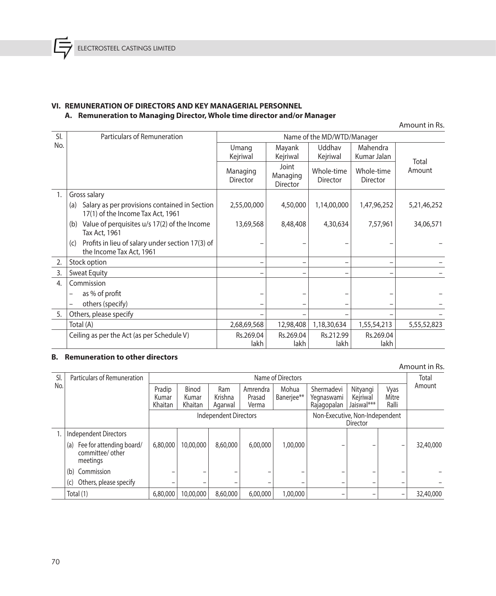### **VI. REMUNERATION OF DIRECTORS AND KEY MANAGERIAL PERSONNEL A. Remuneration to Managing Director, Whole time director and/or Manager**

Amount in Rs.

| SI.            | Particulars of Remuneration                                                               |                             | Name of the MD/WTD/Manager           |                               |                               |             |
|----------------|-------------------------------------------------------------------------------------------|-----------------------------|--------------------------------------|-------------------------------|-------------------------------|-------------|
| No.            |                                                                                           | Umang<br>Kejriwal           | Mayank<br>Kejriwal                   | Uddhav<br>Kejriwal            | Mahendra<br>Kumar Jalan       | Total       |
|                |                                                                                           | Managing<br><b>Director</b> | Joint<br>Managing<br><b>Director</b> | Whole-time<br><b>Director</b> | Whole-time<br><b>Director</b> | Amount      |
| 1.             | Gross salary                                                                              |                             |                                      |                               |                               |             |
|                | Salary as per provisions contained in Section<br>(a)<br>17(1) of the Income Tax Act, 1961 | 2,55,00,000                 | 4,50,000                             | 1,14,00,000                   | 1,47,96,252                   | 5,21,46,252 |
|                | Value of perquisites u/s 17(2) of the Income<br>(b)<br>Tax Act, 1961                      | 13,69,568                   | 8,48,408                             | 4,30,634                      | 7,57,961                      | 34,06,571   |
|                | Profits in lieu of salary under section 17(3) of<br>(c)<br>the Income Tax Act, 1961       |                             |                                      |                               |                               |             |
| 2.             | Stock option                                                                              |                             |                                      |                               |                               |             |
| 3.             | <b>Sweat Equity</b>                                                                       |                             |                                      |                               |                               |             |
| $\overline{4}$ | Commission                                                                                |                             |                                      |                               |                               |             |
|                | as % of profit                                                                            |                             |                                      |                               |                               |             |
|                | others (specify)<br>-                                                                     |                             |                                      |                               |                               |             |
| 5.             | Others, please specify                                                                    |                             |                                      |                               |                               |             |
|                | Total (A)                                                                                 | 2,68,69,568                 | 12,98,408                            | 1,18,30,634                   | 1,55,54,213                   | 5,55,52,823 |
|                | Ceiling as per the Act (as per Schedule V)                                                | Rs.269.04                   | Rs.269.04                            | Rs.212.99                     | Rs.269.04                     |             |
|                |                                                                                           | lakh                        | lakh                                 | lakh                          | lakh                          |             |

### **B. Remuneration to other directors**

#### Amount in Rs. Sl. No. Particulars of Remuneration<br> **Particulars of Remuneration**<br> **Particulars of Remuneration**<br> **Particulars of Remuneration**<br> **Particular Particular Particular Particular American** Pradip | Binod | Ram | Amrendra | Mohua | Shermadevi | Nityangi | Vyas | <sup>Amount</sup> Kumar Khaitan Binod Kumar Khaitan Ram Krishna Agarwal Amrendra Prasad Verma Mohua Banerjee\*\* Shermadevi Yegnaswami Rajagopalan Nityangi Kejriwal Jaiswal\*\*\* Vyas Mitre Ralli Independent Directors **Non-Executive, Non-Independent** Director 1. | Independent Directors (a) Fee for attending board/ committee/ other meetings 6,80,000 10,00,000 8,60,000 6,00,000 1,00,000 – – – 32,40,000 (b) Commission (c) Others, please specify  $\begin{vmatrix} - & - & - & - \\ 1 & - & - & - \end{vmatrix}$  -  $\begin{vmatrix} - & - & - & - \\ - & - & - \end{vmatrix}$  -  $\begin{vmatrix} - & - & - \\ - & - & - \end{vmatrix}$ Total (1) 6,80,000 10,00,000 8,60,000 6,00,000 1,00,000 – – – 32,40,000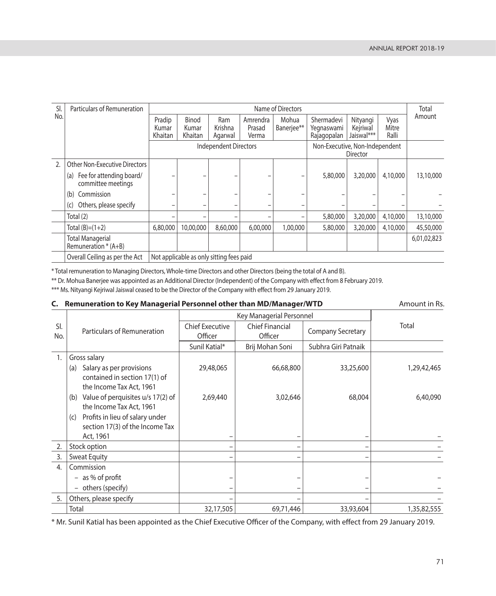| SI.            | Particulars of Remuneration                           | Name of Directors                                                   |                                          |                           |                             |                     |                                         |                                    | Total                  |             |
|----------------|-------------------------------------------------------|---------------------------------------------------------------------|------------------------------------------|---------------------------|-----------------------------|---------------------|-----------------------------------------|------------------------------------|------------------------|-------------|
| No.            |                                                       | Pradip<br>Kumar<br>Khaitan                                          | Binod<br>Kumar<br>Khaitan                | Ram<br>Krishna<br>Agarwal | Amrendra<br>Prasad<br>Verma | Mohua<br>Banerjee** | Shermadevi<br>Yegnaswami<br>Rajagopalan | Nityangi<br>Kejriwal<br>Jaiswal*** | Vyas<br>Mitre<br>Ralli | Amount      |
|                |                                                       | Independent Directors<br>Non-Executive, Non-Independent<br>Director |                                          |                           |                             |                     |                                         |                                    |                        |             |
| $\mathfrak{D}$ | Other Non-Executive Directors                         |                                                                     |                                          |                           |                             |                     |                                         |                                    |                        |             |
|                | Fee for attending board/<br>(a)<br>committee meetings |                                                                     |                                          |                           |                             |                     | 5,80,000                                | 3,20,000                           | 4,10,000               | 13,10,000   |
|                | (b)<br>Commission                                     |                                                                     |                                          |                           |                             |                     |                                         |                                    |                        |             |
|                | Others, please specify<br>(c)                         |                                                                     |                                          |                           |                             |                     |                                         |                                    |                        |             |
|                | Total $(2)$                                           |                                                                     |                                          |                           |                             |                     | 5,80,000                                | 3,20,000                           | 4,10,000               | 13,10,000   |
|                | Total $(B)=(1+2)$                                     | 6,80,000                                                            | 10,00,000                                | 8,60,000                  | 6,00,000                    | 1,00,000            | 5,80,000                                | 3,20,000                           | 4,10,000               | 45,50,000   |
|                | <b>Total Managerial</b><br>Remuneration $*(A+B)$      |                                                                     |                                          |                           |                             |                     |                                         |                                    |                        | 6,01,02,823 |
|                | Overall Ceiling as per the Act                        |                                                                     | Not applicable as only sitting fees paid |                           |                             |                     |                                         |                                    |                        |             |

\* Total remuneration to Managing Directors, Whole-time Directors and other Directors (being the total of A and B).

\*\* Dr. Mohua Banerjee was appointed as an Additional Director (Independent) of the Company with effect from 8 February 2019.

\*\*\* Ms. Nityangi Kejriwal Jaiswal ceased to be the Director of the Company with effect from 29 January 2019.

| C. Remuneration to Key Managerial Personnel other than MD/Manager/WTD | Amount in Rs.                                                                                |                                                                        |                 |                          |             |
|-----------------------------------------------------------------------|----------------------------------------------------------------------------------------------|------------------------------------------------------------------------|-----------------|--------------------------|-------------|
|                                                                       |                                                                                              | Key Managerial Personnel                                               |                 |                          |             |
| SI.<br>No.                                                            | Particulars of Remuneration                                                                  | <b>Chief Executive</b><br><b>Chief Financial</b><br>Officer<br>Officer |                 | <b>Company Secretary</b> | Total       |
|                                                                       |                                                                                              | Sunil Katial*                                                          | Brij Mohan Soni | Subhra Giri Patnaik      |             |
| 1.                                                                    | Gross salary                                                                                 |                                                                        |                 |                          |             |
|                                                                       | Salary as per provisions<br>(a)<br>contained in section 17(1) of<br>the Income Tax Act, 1961 | 29,48,065                                                              | 66,68,800       | 33,25,600                | 1,29,42,465 |
|                                                                       | Value of perquisites u/s 17(2) of<br>(b)<br>the Income Tax Act, 1961                         | 2,69,440                                                               | 3,02,646        | 68,004                   | 6,40,090    |
|                                                                       | Profits in lieu of salary under<br>(c)<br>section 17(3) of the Income Tax<br>Act, 1961       |                                                                        |                 |                          |             |
| 2.                                                                    | Stock option                                                                                 | -                                                                      |                 |                          |             |
| 3.                                                                    | <b>Sweat Equity</b>                                                                          | -                                                                      |                 |                          |             |
| 4.                                                                    | Commission                                                                                   |                                                                        |                 |                          |             |
|                                                                       | $-$ as % of profit                                                                           |                                                                        |                 |                          |             |
|                                                                       | - others (specify)                                                                           |                                                                        |                 |                          |             |
| 5.                                                                    | Others, please specify                                                                       |                                                                        |                 |                          |             |
|                                                                       | Total                                                                                        | 32,17,505                                                              | 69,71,446       | 33,93,604                | 1,35,82,555 |

\* Mr. Sunil Katial has been appointed as the Chief Executive Officer of the Company, with effect from 29 January 2019.